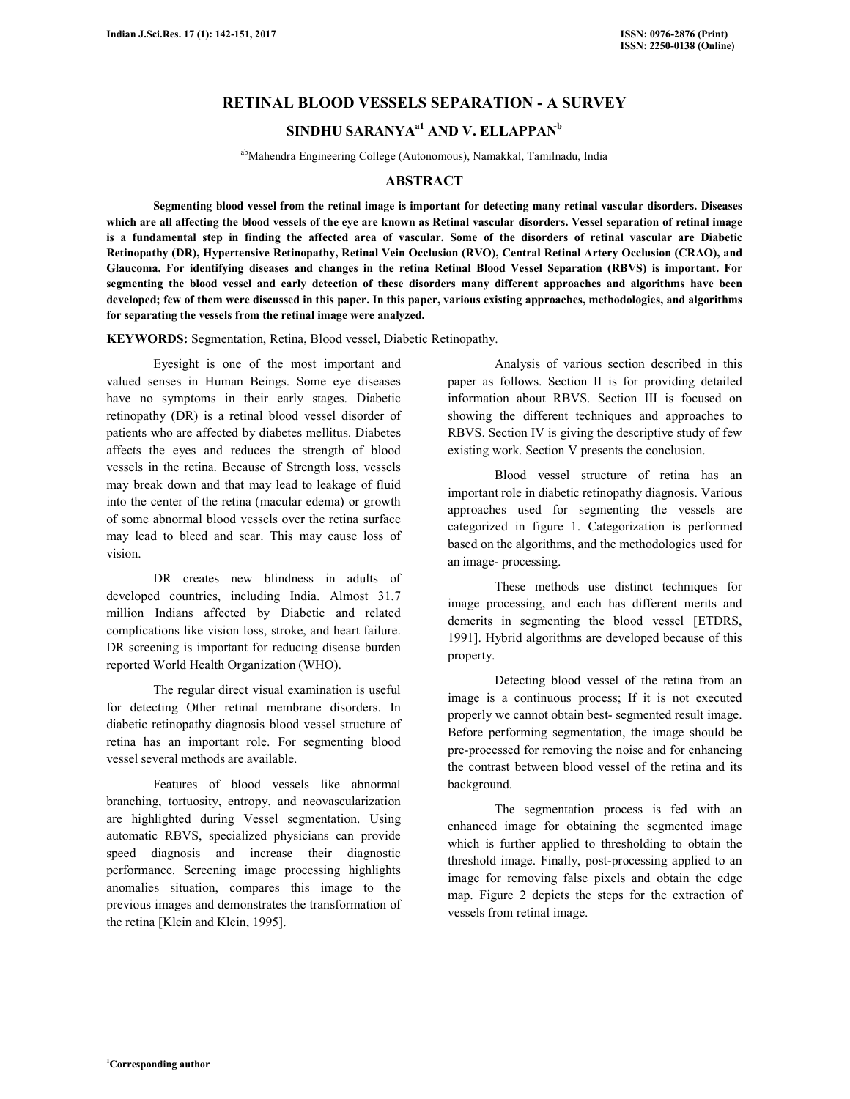## **RETINAL BLOOD VESSELS SEPARATION - A SURVEY**

# **SINDHU SARANYAa1 AND V. ELLAPPAN<sup>b</sup>**

abMahendra Engineering College (Autonomous), Namakkal, Tamilnadu, India

### **ABSTRACT**

 **Segmenting blood vessel from the retinal image is important for detecting many retinal vascular disorders. Diseases which are all affecting the blood vessels of the eye are known as Retinal vascular disorders. Vessel separation of retinal image is a fundamental step in finding the affected area of vascular. Some of the disorders of retinal vascular are Diabetic Retinopathy (DR), Hypertensive Retinopathy, Retinal Vein Occlusion (RVO), Central Retinal Artery Occlusion (CRAO), and Glaucoma. For identifying diseases and changes in the retina Retinal Blood Vessel Separation (RBVS) is important. For segmenting the blood vessel and early detection of these disorders many different approaches and algorithms have been developed; few of them were discussed in this paper. In this paper, various existing approaches, methodologies, and algorithms for separating the vessels from the retinal image were analyzed.** 

**KEYWORDS:** Segmentation, Retina, Blood vessel, Diabetic Retinopathy.

Eyesight is one of the most important and valued senses in Human Beings. Some eye diseases have no symptoms in their early stages. Diabetic retinopathy (DR) is a retinal blood vessel disorder of patients who are affected by diabetes mellitus. Diabetes affects the eyes and reduces the strength of blood vessels in the retina. Because of Strength loss, vessels may break down and that may lead to leakage of fluid into the center of the retina (macular edema) or growth of some abnormal blood vessels over the retina surface may lead to bleed and scar. This may cause loss of vision.

 DR creates new blindness in adults of developed countries, including India. Almost 31.7 million Indians affected by Diabetic and related complications like vision loss, stroke, and heart failure. DR screening is important for reducing disease burden reported World Health Organization (WHO).

 The regular direct visual examination is useful for detecting Other retinal membrane disorders. In diabetic retinopathy diagnosis blood vessel structure of retina has an important role. For segmenting blood vessel several methods are available.

 Features of blood vessels like abnormal branching, tortuosity, entropy, and neovascularization are highlighted during Vessel segmentation. Using automatic RBVS, specialized physicians can provide speed diagnosis and increase their diagnostic performance. Screening image processing highlights anomalies situation, compares this image to the previous images and demonstrates the transformation of the retina [Klein and Klein, 1995].

 Analysis of various section described in this paper as follows. Section II is for providing detailed information about RBVS. Section III is focused on showing the different techniques and approaches to RBVS. Section IV is giving the descriptive study of few existing work. Section V presents the conclusion.

 Blood vessel structure of retina has an important role in diabetic retinopathy diagnosis. Various approaches used for segmenting the vessels are categorized in figure 1. Categorization is performed based on the algorithms, and the methodologies used for an image- processing.

 These methods use distinct techniques for image processing, and each has different merits and demerits in segmenting the blood vessel [ETDRS, 1991]. Hybrid algorithms are developed because of this property.

 Detecting blood vessel of the retina from an image is a continuous process; If it is not executed properly we cannot obtain best- segmented result image. Before performing segmentation, the image should be pre-processed for removing the noise and for enhancing the contrast between blood vessel of the retina and its background.

 The segmentation process is fed with an enhanced image for obtaining the segmented image which is further applied to thresholding to obtain the threshold image. Finally, post-processing applied to an image for removing false pixels and obtain the edge map. Figure 2 depicts the steps for the extraction of vessels from retinal image.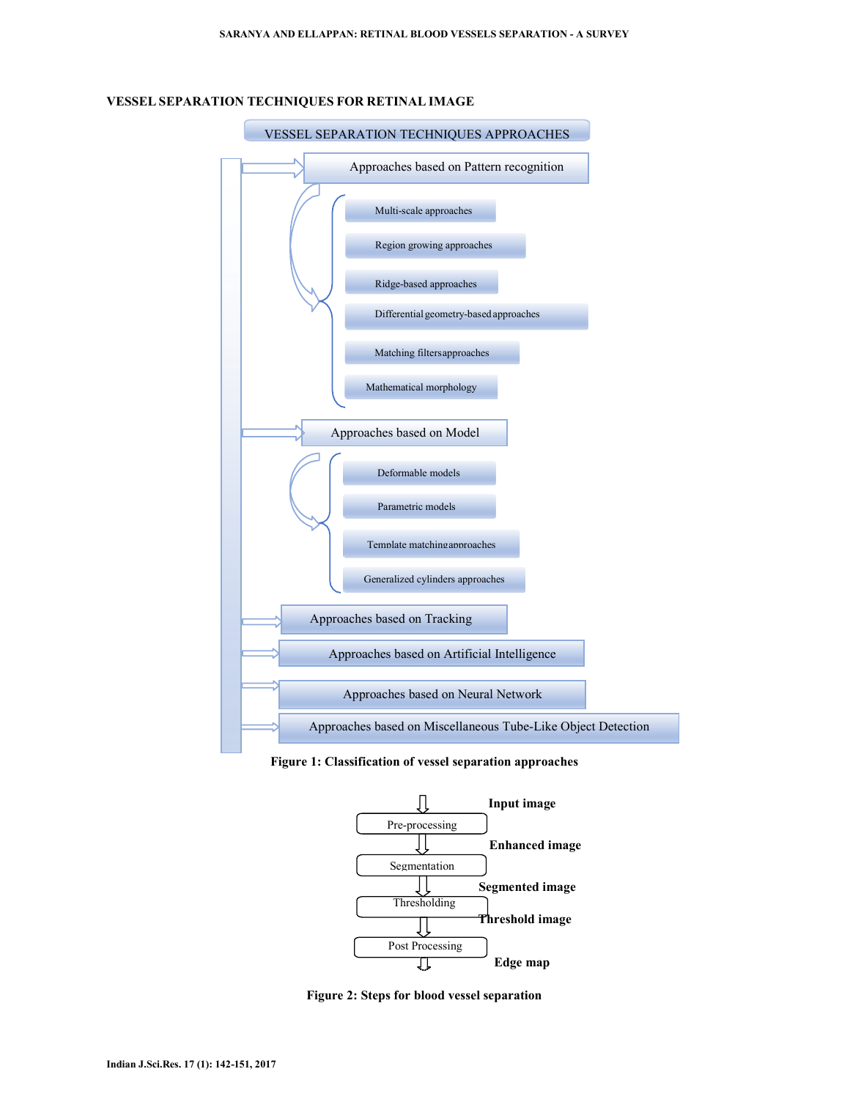

### **VESSEL SEPARATION TECHNIQUES FOR RETINAL IMAGE**

**Figure 1: Classification of vessel separation approaches** 



**Figure 2: Steps for blood vessel separation**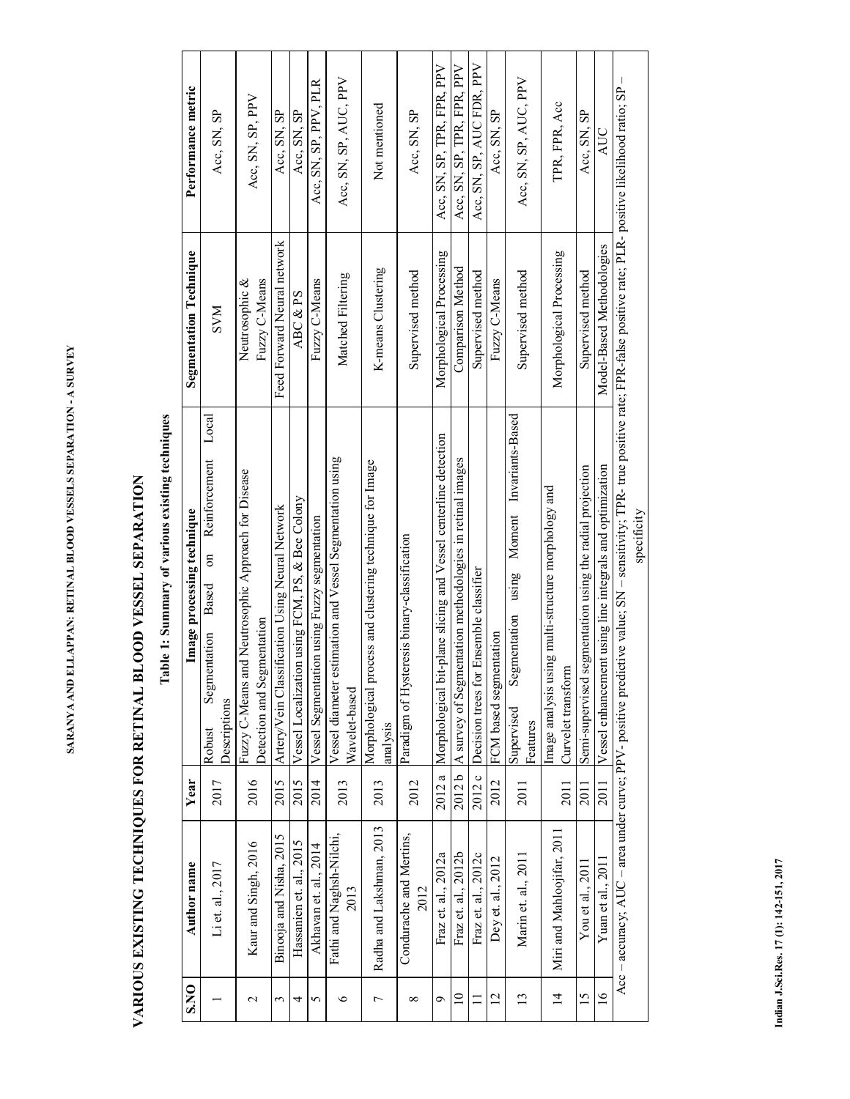# VARIOUS EXISTING TECHNIQUES FOR RETINAL BLOOD VESSEL SEPARATION **L SEPARATION VARIOUS EXISTING TECHNIQUES FOR RETINAL BLOOD VESSE**

# Table 1: Summary of various existing techniques **Table 1: Summary of various existing techniques**

| <b>S.NO</b>     | <b>Author</b> name               | Year   | Image processing technique                                                                                                                                                       | <b>Segmentation Technique</b>   | Performance metric         |
|-----------------|----------------------------------|--------|----------------------------------------------------------------------------------------------------------------------------------------------------------------------------------|---------------------------------|----------------------------|
|                 | Li et. al., 2017                 | 2017   | Local<br>Reinforcement<br>$\overline{\mathrm{m}}$<br>Based<br>Segmentation<br>Descriptions<br>Robust                                                                             | <b>NNS</b>                      | Acc, SN, SP                |
| $\mathbf 2$     | Kaur and Singh, 2016             | 2016   | Fuzzy C-Means and Neutrosophic Approach for Disease<br>Detection and Segmentation                                                                                                | Fuzzy C-Means<br>Neutrosophic & | Acc, SN, SP, PPV           |
| 3               | Binooja and Nisha, 2015          | 2015   | Artery/Vein Classification Using Neural Network                                                                                                                                  | Feed Forward Neural network     | Acc, SN, SP                |
| 4               | Hassanien et. al., 2015          | 2015   | Vessel Localization using FCM, PS, & Bee Colony                                                                                                                                  | ABC & PS                        | Acc, SN, SP                |
| 5               | Akhavan et. al., 2014            | 2014   | Vessel Segmentation using Fuzzy segmentation                                                                                                                                     | Fuzzy C-Means                   | Acc, SN, SP, PPV, PLR      |
| 6               | Fathi and Naghsh-Nilchi,<br>2013 | 2013   | Vessel diameter estimation and Vessel Segmentation using<br>Wavelet-based                                                                                                        | Matched Filtering               | Acc, SN, SP, AUC, PPV      |
| 7               | Radha and Lakshman, 2013         | 2013   | Morphological process and clustering technique for Image<br>analysis                                                                                                             | K-means Clustering              | Not mentioned              |
| $\infty$        | Condurache and Mertins,<br>2012  | 2012   | Paradigm of Hysteresis binary-classification                                                                                                                                     | Supervised method               | Acc, SN, SP                |
| Ó               | Fraz et. al., 2012a              | 2012a  | Morphological bit-plane slicing and Vessel centerline detection                                                                                                                  | Morphological Processing        | Acc, SN, SP, TPR, FPR, PPV |
| $\overline{a}$  | Fraz et. al., 2012b              |        | 2012 b   A survey of Segmentation methodologies in retinal images                                                                                                                | Comparison<br>Method            | Acc, SN, SP, TPR, FPR, PPV |
| $\Box$          | Fraz et. al., 2012c              | 2012 c | Ensemble classifier<br>Decision trees for                                                                                                                                        | Supervised method               | Acc, SN, SP, AUC FDR, PPV  |
| $\overline{12}$ | Dey et. al., 2012                | 2012   | FCM based segmentation                                                                                                                                                           | Fuzzy C-Means                   | Acc, SN, SP                |
| 13              | Marin et. al., 2011              | 2011   | Invariants-Based<br>Moment<br>using<br>Segmentation<br>Supervised<br>Features                                                                                                    | Supervised method               | Acc, SN, SP, AUC, PPV      |
| $\overline{4}$  | Miri and Mahloojifar, 2011       | 2011   | ig multi-structure morphology and<br>Image analysis usir<br>Curvelet transform                                                                                                   | Morphological Processing        | TPR, FPR, Acc              |
| $15 \,$         | You et al., $2011$               | 2011   | ementation using the radial projection<br>Semi-supervised se                                                                                                                     | Supervised method               | Acc, SN, SP                |
| $\overline{6}$  | Yuan et al., 2011                | 2011   | Vessel enhancement using line integrals and optimization                                                                                                                         | Model-Based Methodologies       | AUC                        |
|                 |                                  |        | Acc - accuracy; AUC - area under curve; PPV- positive predictive value; SN - sensitivity; TPR- true positive rate; FPR-false positive rate; PLR- positive likelihood ratio; SP - |                                 |                            |
|                 |                                  |        | specificity                                                                                                                                                                      |                                 |                            |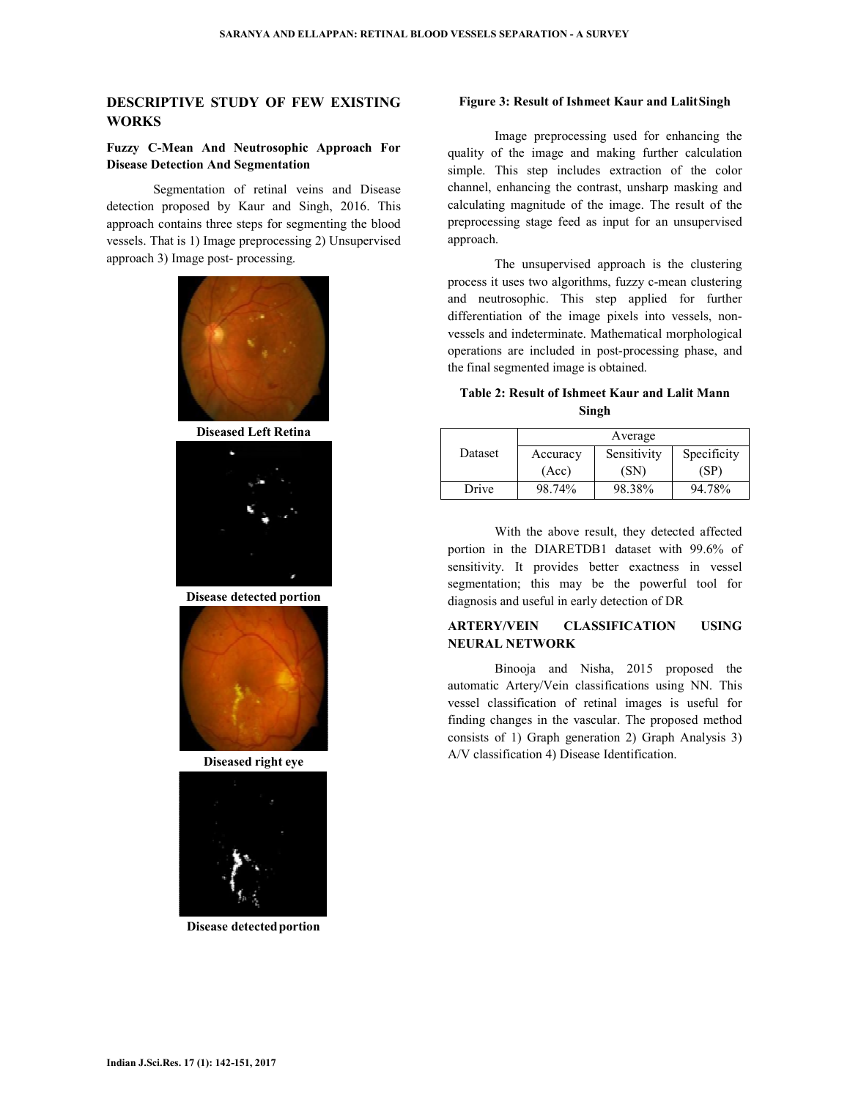### **DESCRIPTIVE STUDY OF FEW EXISTING WORKS**

### **Fuzzy C-Mean And Neutrosophic Approach For Disease Detection And Segmentation**

 Segmentation of retinal veins and Disease detection proposed by Kaur and Singh, 2016. This approach contains three steps for segmenting the blood vessels. That is 1) Image preprocessing 2) Unsupervised approach 3) Image post- processing.



**Diseased Left Retina** 



**Disease detected portion** 



**Diseased right eye** 



**Disease detected portion** 

### **Figure 3: Result of Ishmeet Kaur and Lalit Singh**

Image preprocessing used for enhancing the quality of the image and making further calculation simple. This step includes extraction of the color channel, enhancing the contrast, unsharp masking and calculating magnitude of the image. The result of the preprocessing stage feed as input for an unsupervised approach.

 The unsupervised approach is the clustering process it uses two algorithms, fuzzy c-mean clustering and neutrosophic. This step applied for further differentiation of the image pixels into vessels, nonvessels and indeterminate. Mathematical morphological operations are included in post-processing phase, and the final segmented image is obtained.

### **Table 2: Result of Ishmeet Kaur and Lalit Mann Singh**

|         | Average  |             |             |
|---------|----------|-------------|-------------|
| Dataset | Accuracy | Sensitivity | Specificity |
|         | (Acc)    | (SN)        | (SP)        |
| Drive   | 98.74%   | 98.38%      | 94.78%      |

With the above result, they detected affected portion in the DIARETDB1 dataset with 99.6% of sensitivity. It provides better exactness in vessel segmentation; this may be the powerful tool for diagnosis and useful in early detection of DR

### **ARTERY/VEIN CLASSIFICATION USING NEURAL NETWORK**

Binooja and Nisha, 2015 proposed the automatic Artery/Vein classifications using NN. This vessel classification of retinal images is useful for finding changes in the vascular. The proposed method consists of 1) Graph generation 2) Graph Analysis 3) A/V classification 4) Disease Identification.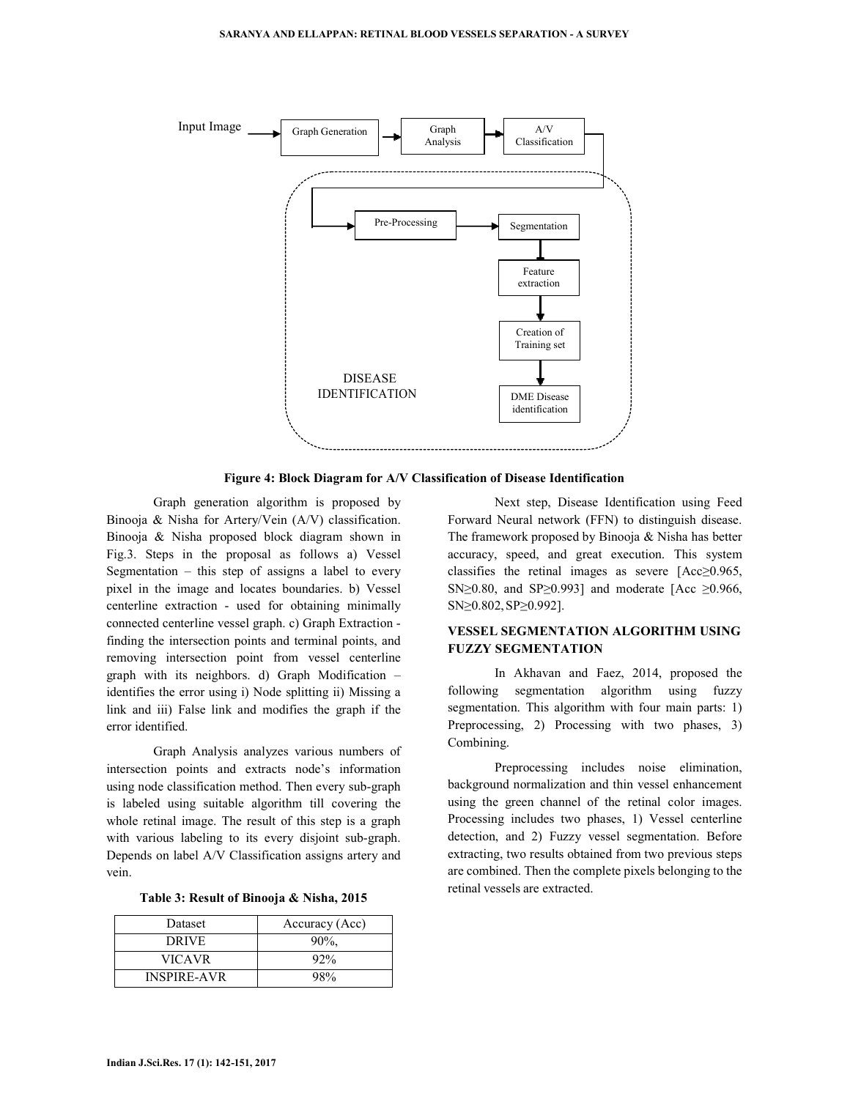

**Figure 4: Block Diagram for A/V Classification of Disease Identification** 

 Graph generation algorithm is proposed by Binooja & Nisha for Artery/Vein (A/V) classification. Binooja & Nisha proposed block diagram shown in Fig.3. Steps in the proposal as follows a) Vessel Segmentation  $-$  this step of assigns a label to every pixel in the image and locates boundaries. b) Vessel centerline extraction - used for obtaining minimally connected centerline vessel graph. c) Graph Extraction finding the intersection points and terminal points, and removing intersection point from vessel centerline graph with its neighbors. d) Graph Modification – identifies the error using i) Node splitting ii) Missing a link and iii) False link and modifies the graph if the error identified.

 Graph Analysis analyzes various numbers of intersection points and extracts node's information using node classification method. Then every sub-graph is labeled using suitable algorithm till covering the whole retinal image. The result of this step is a graph with various labeling to its every disjoint sub-graph. Depends on label A/V Classification assigns artery and vein.

| Table 3: Result of Binooja & Nisha, 2015 |  |  |  |
|------------------------------------------|--|--|--|
|------------------------------------------|--|--|--|

| Dataset            | Accuracy (Acc) |  |
|--------------------|----------------|--|
| <b>DRIVE</b>       | $90\%$ .       |  |
| <b>VICAVR</b>      | $92\%$         |  |
| <b>INSPIRE-AVR</b> | $98\%$         |  |

 Next step, Disease Identification using Feed Forward Neural network (FFN) to distinguish disease. The framework proposed by Binooja & Nisha has better accuracy, speed, and great execution. This system classifies the retinal images as severe [Acc≥0.965, SN≥0.80, and SP≥0.993] and moderate [Acc  $\geq$ 0.966, SN≥0.802, SP≥0.992].

### **VESSEL SEGMENTATION ALGORITHM USING FUZZY SEGMENTATION**

 In Akhavan and Faez, 2014, proposed the following segmentation algorithm using fuzzy segmentation. This algorithm with four main parts: 1) Preprocessing, 2) Processing with two phases, 3) Combining.

 Preprocessing includes noise elimination, background normalization and thin vessel enhancement using the green channel of the retinal color images. Processing includes two phases, 1) Vessel centerline detection, and 2) Fuzzy vessel segmentation. Before extracting, two results obtained from two previous steps are combined. Then the complete pixels belonging to the retinal vessels are extracted.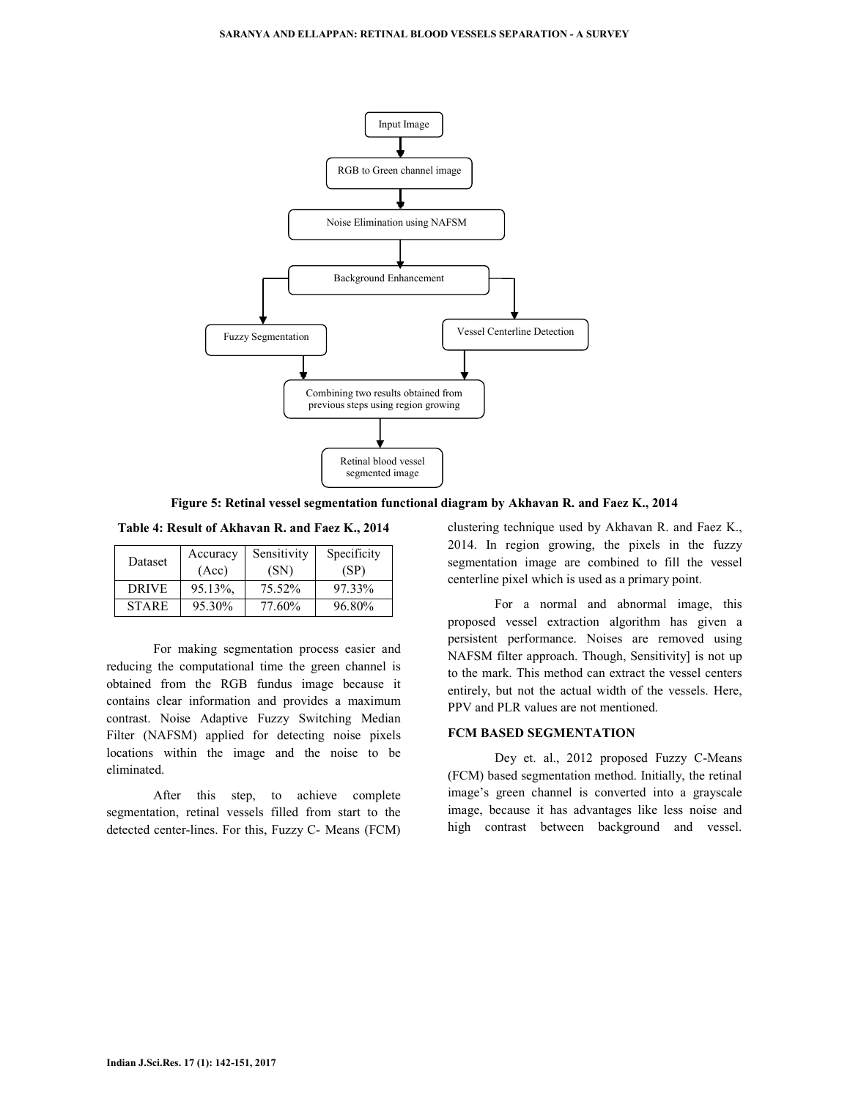

**Figure 5: Retinal vessel segmentation functional diagram by Akhavan R. and Faez K., 2014** 

**Table 4: Result of Akhavan R. and Faez K., 2014** 

| Dataset      | Accuracy | Sensitivity | Specificity |
|--------------|----------|-------------|-------------|
|              | (Acc)    | (SN)        | (SP)        |
| <b>DRIVE</b> | 95.13%.  | 75.52%      | 97.33%      |
| <b>STARE</b> | 95.30%   | 77.60%      | 96.80%      |

 For making segmentation process easier and reducing the computational time the green channel is obtained from the RGB fundus image because it contains clear information and provides a maximum contrast. Noise Adaptive Fuzzy Switching Median Filter (NAFSM) applied for detecting noise pixels locations within the image and the noise to be eliminated.

 After this step, to achieve complete segmentation, retinal vessels filled from start to the detected center-lines. For this, Fuzzy C- Means (FCM)

clustering technique used by Akhavan R. and Faez K., 2014. In region growing, the pixels in the fuzzy segmentation image are combined to fill the vessel centerline pixel which is used as a primary point.

 For a normal and abnormal image, this proposed vessel extraction algorithm has given a persistent performance. Noises are removed using NAFSM filter approach. Though, Sensitivity] is not up to the mark. This method can extract the vessel centers entirely, but not the actual width of the vessels. Here, PPV and PLR values are not mentioned.

### **FCM BASED SEGMENTATION**

 Dey et. al., 2012 proposed Fuzzy C-Means (FCM) based segmentation method. Initially, the retinal image's green channel is converted into a grayscale image, because it has advantages like less noise and high contrast between background and vessel.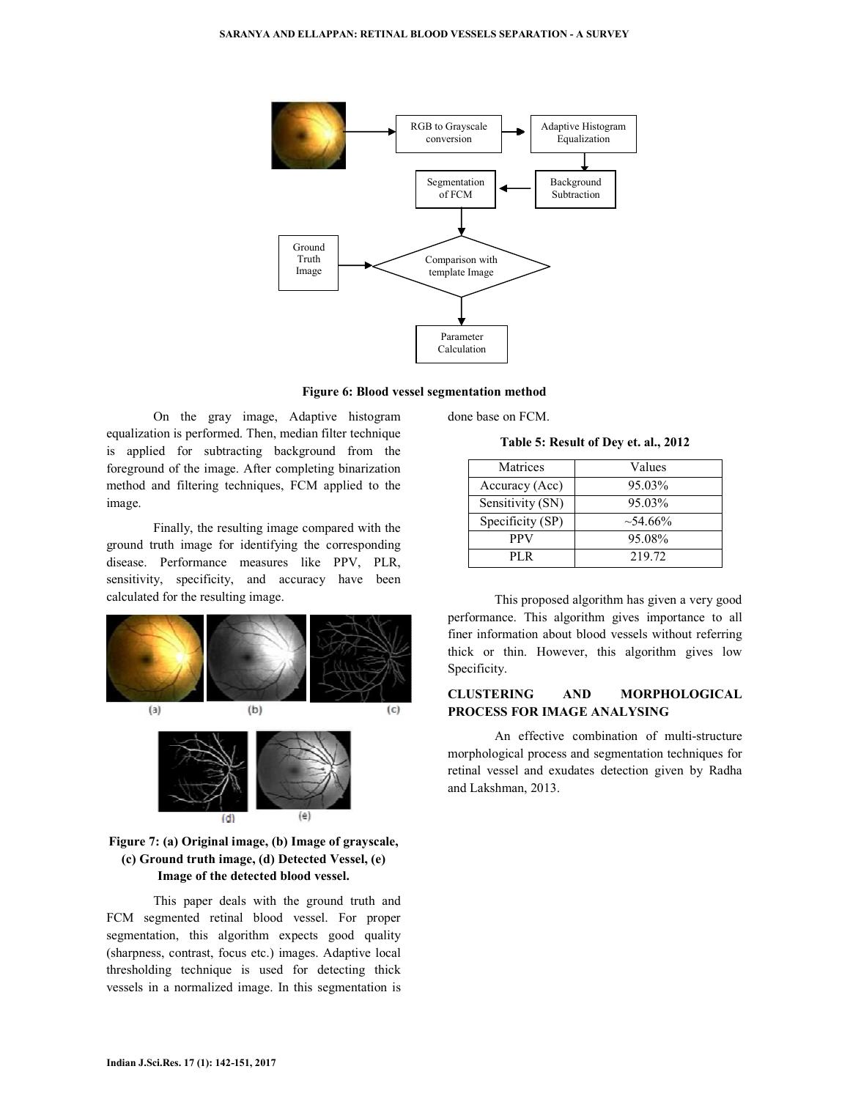

**Figure 6: Blood vessel segmentation method** 

On the gray image, Adaptive histogram equalization is performed. Then, median filter technique is applied for subtracting background from the foreground of the image. After completing binarization method and filtering techniques, FCM applied to the image.

 Finally, the resulting image compared with the ground truth image for identifying the corresponding disease. Performance measures like PPV, PLR, sensitivity, specificity, and accuracy have been calculated for the resulting image.



### **Figure 7: (a) Original image, (b) Image of grayscale, (c) Ground truth image, (d) Detected Vessel, (e) Image of the detected blood vessel.**

This paper deals with the ground truth and FCM segmented retinal blood vessel. For proper segmentation, this algorithm expects good quality (sharpness, contrast, focus etc.) images. Adaptive local thresholding technique is used for detecting thick vessels in a normalized image. In this segmentation is

done base on FCM.

**Table 5: Result of Dey et. al., 2012** 

| Matrices         | Values        |  |
|------------------|---------------|--|
| Accuracy (Acc)   | 95.03%        |  |
| Sensitivity (SN) | 95.03%        |  |
| Specificity (SP) | $\sim$ 54.66% |  |
| PPV              | 95.08%        |  |
| PL R             | 219.72        |  |

 This proposed algorithm has given a very good performance. This algorithm gives importance to all finer information about blood vessels without referring thick or thin. However, this algorithm gives low Specificity.

### **CLUSTERING AND MORPHOLOGICAL PROCESS FOR IMAGE ANALYSING**

 An effective combination of multi-structure morphological process and segmentation techniques for retinal vessel and exudates detection given by Radha and Lakshman, 2013.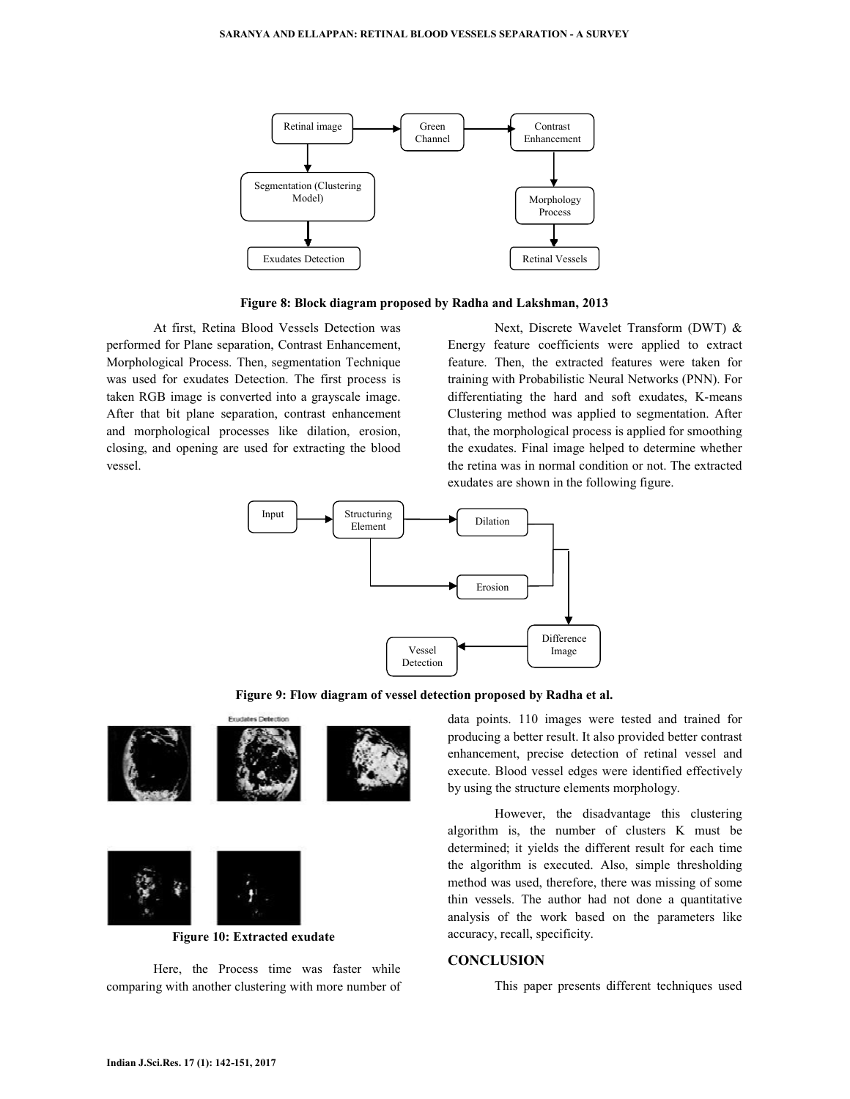

**Figure 8: Block diagram proposed by Radha and Lakshman, 2013**

At first, Retina Blood Vessels Detection was performed for Plane separation, Contrast Enhancement, Morphological Process. Then, segmentation Technique was used for exudates Detection. The first process is taken RGB image is converted into a grayscale image. After that bit plane separation, contrast enhancement and morphological processes like dilation, erosion, closing, and opening are used for extracting the blood vessel.

 Next, Discrete Wavelet Transform (DWT) & Energy feature coefficients were applied to extract feature. Then, the extracted features were taken for training with Probabilistic Neural Networks (PNN). For differentiating the hard and soft exudates, K-means Clustering method was applied to segmentation. After that, the morphological process is applied for smoothing the exudates. Final image helped to determine whether the retina was in normal condition or not. The extracted exudates are shown in the following figure.



**Figure 9: Flow diagram of vessel detection proposed by Radha et al.**



**Figure 10: Extracted exudate** 

 Here, the Process time was faster while comparing with another clustering with more number of data points. 110 images were tested and trained for producing a better result. It also provided better contrast enhancement, precise detection of retinal vessel and execute. Blood vessel edges were identified effectively by using the structure elements morphology.

 However, the disadvantage this clustering algorithm is, the number of clusters K must be determined; it yields the different result for each time the algorithm is executed. Also, simple thresholding method was used, therefore, there was missing of some thin vessels. The author had not done a quantitative analysis of the work based on the parameters like accuracy, recall, specificity.

### **CONCLUSION**

This paper presents different techniques used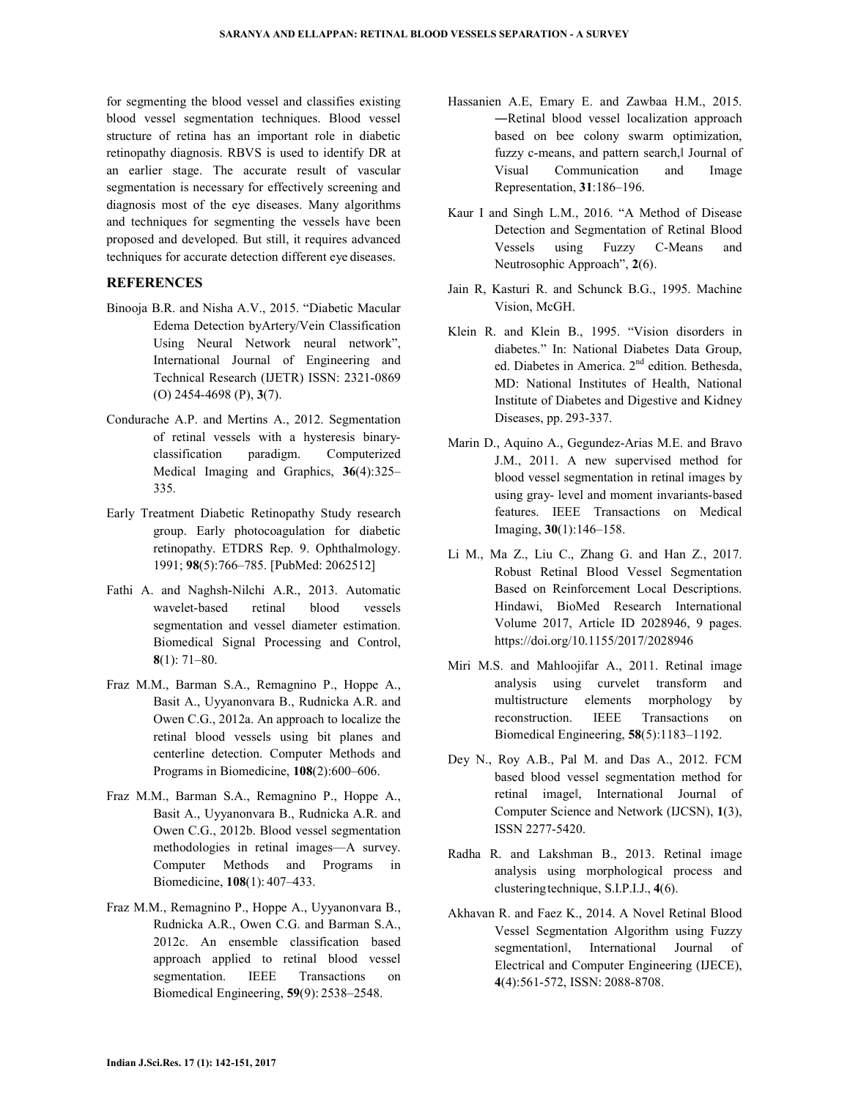for segmenting the blood vessel and classifies existing blood vessel segmentation techniques. Blood vessel structure of retina has an important role in diabetic retinopathy diagnosis. RBVS is used to identify DR at an earlier stage. The accurate result of vascular segmentation is necessary for effectively screening and diagnosis most of the eye diseases. Many algorithms and techniques for segmenting the vessels have been proposed and developed. But still, it requires advanced techniques for accurate detection different eye diseases.

### **REFERENCES**

- Binooja B.R. and Nisha A.V., 2015. "Diabetic Macular Edema Detection byArtery/Vein Classification Using Neural Network neural network", International Journal of Engineering and Technical Research (IJETR) ISSN: 2321-0869 (O) 2454-4698 (P), **3**(7).
- Condurache A.P. and Mertins A., 2012. Segmentation of retinal vessels with a hysteresis binaryclassification paradigm. Computerized Medical Imaging and Graphics, **36**(4):325– 335.
- Early Treatment Diabetic Retinopathy Study research group. Early photocoagulation for diabetic retinopathy. ETDRS Rep. 9. Ophthalmology. 1991; **98**(5):766–785. [PubMed: 2062512]
- Fathi A. and Naghsh-Nilchi A.R., 2013. Automatic wavelet-based retinal blood vessels segmentation and vessel diameter estimation. Biomedical Signal Processing and Control, **8**(1): 71–80.
- Fraz M.M., Barman S.A., Remagnino P., Hoppe A., Basit A., Uyyanonvara B., Rudnicka A.R. and Owen C.G., 2012a. An approach to localize the retinal blood vessels using bit planes and centerline detection. Computer Methods and Programs in Biomedicine, **108**(2):600–606.
- Fraz M.M., Barman S.A., Remagnino P., Hoppe A., Basit A., Uyyanonvara B., Rudnicka A.R. and Owen C.G., 2012b. Blood vessel segmentation methodologies in retinal images—A survey. Computer Methods and Programs in Biomedicine, **108**(1): 407–433.
- Fraz M.M., Remagnino P., Hoppe A., Uyyanonvara B., Rudnicka A.R., Owen C.G. and Barman S.A., 2012c. An ensemble classification based approach applied to retinal blood vessel segmentation. IEEE Transactions on Biomedical Engineering, **59**(9): 2538–2548.
- Hassanien A.E, Emary E. and Zawbaa H.M., 2015. ―Retinal blood vessel localization approach based on bee colony swarm optimization, fuzzy c-means, and pattern search, Journal of Visual Communication and Image Representation, **31**:186–196.
- Kaur I and Singh L.M., 2016. "A Method of Disease Detection and Segmentation of Retinal Blood Vessels using Fuzzy C-Means and Neutrosophic Approach", **2**(6).
- Jain R, Kasturi R. and Schunck B.G., 1995. Machine Vision, McGH.
- Klein R. and Klein B., 1995. "Vision disorders in diabetes." In: National Diabetes Data Group, ed. Diabetes in America. 2nd edition. Bethesda, MD: National Institutes of Health, National Institute of Diabetes and Digestive and Kidney Diseases, pp. 293-337.
- Marin D., Aquino A., Gegundez-Arias M.E. and Bravo J.M., 2011. A new supervised method for blood vessel segmentation in retinal images by using gray- level and moment invariants-based features. IEEE Transactions on Medical Imaging, **30**(1):146–158.
- Li M., Ma Z., Liu C., Zhang G. and Han Z., 2017. Robust Retinal Blood Vessel Segmentation Based on Reinforcement Local Descriptions. Hindawi, BioMed Research International Volume 2017, Article ID 2028946, 9 pages. https://doi.org/10.1155/2017/2028946
- Miri M.S. and Mahloojifar A., 2011. Retinal image analysis using curvelet transform and multistructure elements morphology by reconstruction. IEEE Transactions on Biomedical Engineering, **58**(5):1183–1192.
- Dey N., Roy A.B., Pal M. and Das A., 2012. FCM based blood vessel segmentation method for retinal imageǁ, International Journal of Computer Science and Network (IJCSN), **1**(3), ISSN 2277-5420.
- Radha R. and Lakshman B., 2013. Retinal image analysis using morphological process and clustering technique, S.I.P.I.J., **4**(6).
- Akhavan R. and Faez K., 2014. A Novel Retinal Blood Vessel Segmentation Algorithm using Fuzzy segmentationǁ, International Journal of Electrical and Computer Engineering (IJECE), **4**(4):561-572, ISSN: 2088-8708.